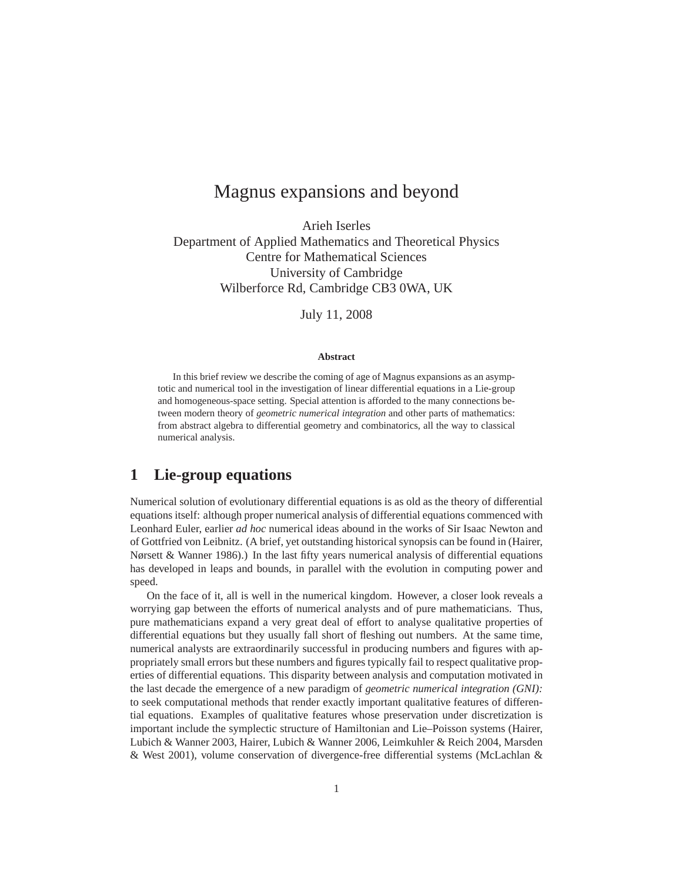# Magnus expansions and beyond

Arieh Iserles Department of Applied Mathematics and Theoretical Physics Centre for Mathematical Sciences University of Cambridge Wilberforce Rd, Cambridge CB3 0WA, UK

July 11, 2008

#### **Abstract**

In this brief review we describe the coming of age of Magnus expansions as an asymptotic and numerical tool in the investigation of linear differential equations in a Lie-group and homogeneous-space setting. Special attention is afforded to the many connections between modern theory of *geometric numerical integration* and other parts of mathematics: from abstract algebra to differential geometry and combinatorics, all the way to classical numerical analysis.

# **1 Lie-group equations**

Numerical solution of evolutionary differential equations is as old as the theory of differential equations itself: although proper numerical analysis of differential equations commenced with Leonhard Euler, earlier *ad hoc* numerical ideas abound in the works of Sir Isaac Newton and of Gottfried von Leibnitz. (A brief, yet outstanding historical synopsis can be found in (Hairer, Nørsett & Wanner 1986).) In the last fifty years numerical analysis of differential equations has developed in leaps and bounds, in parallel with the evolution in computing power and speed.

On the face of it, all is well in the numerical kingdom. However, a closer look reveals a worrying gap between the efforts of numerical analysts and of pure mathematicians. Thus, pure mathematicians expand a very great deal of effort to analyse qualitative properties of differential equations but they usually fall short of fleshing out numbers. At the same time, numerical analysts are extraordinarily successful in producing numbers and figures with appropriately small errors but these numbers and figures typically fail to respect qualitative properties of differential equations. This disparity between analysis and computation motivated in the last decade the emergence of a new paradigm of *geometric numerical integration (GNI):* to seek computational methods that render exactly important qualitative features of differential equations. Examples of qualitative features whose preservation under discretization is important include the symplectic structure of Hamiltonian and Lie–Poisson systems (Hairer, Lubich & Wanner 2003, Hairer, Lubich & Wanner 2006, Leimkuhler & Reich 2004, Marsden & West 2001), volume conservation of divergence-free differential systems (McLachlan &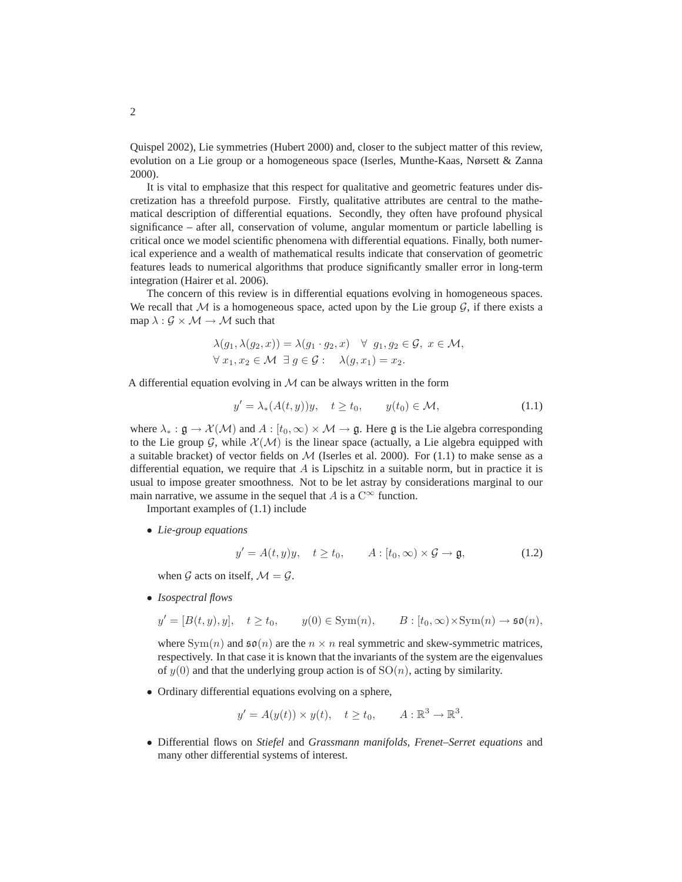Quispel 2002), Lie symmetries (Hubert 2000) and, closer to the subject matter of this review, evolution on a Lie group or a homogeneous space (Iserles, Munthe-Kaas, Nørsett & Zanna 2000).

It is vital to emphasize that this respect for qualitative and geometric features under discretization has a threefold purpose. Firstly, qualitative attributes are central to the mathematical description of differential equations. Secondly, they often have profound physical significance – after all, conservation of volume, angular momentum or particle labelling is critical once we model scientific phenomena with differential equations. Finally, both numerical experience and a wealth of mathematical results indicate that conservation of geometric features leads to numerical algorithms that produce significantly smaller error in long-term integration (Hairer et al. 2006).

The concern of this review is in differential equations evolving in homogeneous spaces. We recall that M is a homogeneous space, acted upon by the Lie group  $\mathcal{G}$ , if there exists a map  $\lambda : \mathcal{G} \times \mathcal{M} \rightarrow \mathcal{M}$  such that

$$
\lambda(g_1, \lambda(g_2, x)) = \lambda(g_1 \cdot g_2, x) \quad \forall \ g_1, g_2 \in \mathcal{G}, \ x \in \mathcal{M},
$$
  

$$
\forall \ x_1, x_2 \in \mathcal{M} \ \exists \ g \in \mathcal{G} : \ \lambda(g, x_1) = x_2.
$$

A differential equation evolving in  $M$  can be always written in the form

$$
y' = \lambda_*(A(t, y))y, \quad t \ge t_0, \qquad y(t_0) \in \mathcal{M}, \tag{1.1}
$$

where  $\lambda_* : \mathfrak{g} \to \mathcal{X}(\mathcal{M})$  and  $A : [t_0, \infty) \times \mathcal{M} \to \mathfrak{g}$ . Here  $\mathfrak{g}$  is the Lie algebra corresponding to the Lie group  $\mathcal{G}$ , while  $\mathcal{X}(\mathcal{M})$  is the linear space (actually, a Lie algebra equipped with a suitable bracket) of vector fields on  $M$  (Iserles et al. 2000). For (1.1) to make sense as a differential equation, we require that  $A$  is Lipschitz in a suitable norm, but in practice it is usual to impose greater smoothness. Not to be let astray by considerations marginal to our main narrative, we assume in the sequel that  $A$  is a  $C^{\infty}$  function.

Important examples of (1.1) include

• *Lie-group equations*

$$
y' = A(t, y)y, \quad t \ge t_0, \qquad A : [t_0, \infty) \times \mathcal{G} \to \mathfrak{g}, \tag{1.2}
$$

when  $G$  acts on itself,  $M = G$ .

• *Isospectral flows*

 $y' = [B(t, y), y], \quad t \ge t_0, \qquad y(0) \in \text{Sym}(n), \qquad B : [t_0, \infty) \times \text{Sym}(n) \to \mathfrak{so}(n),$ 

where  $Sym(n)$  and  $\mathfrak{so}(n)$  are the  $n \times n$  real symmetric and skew-symmetric matrices, respectively. In that case it is known that the invariants of the system are the eigenvalues of  $y(0)$  and that the underlying group action is of  $SO(n)$ , acting by similarity.

• Ordinary differential equations evolving on a sphere,

$$
y' = A(y(t)) \times y(t), \quad t \ge t_0, \qquad A: \mathbb{R}^3 \to \mathbb{R}^3.
$$

• Differential flows on *Stiefel* and *Grassmann manifolds, Frenet–Serret equations* and many other differential systems of interest.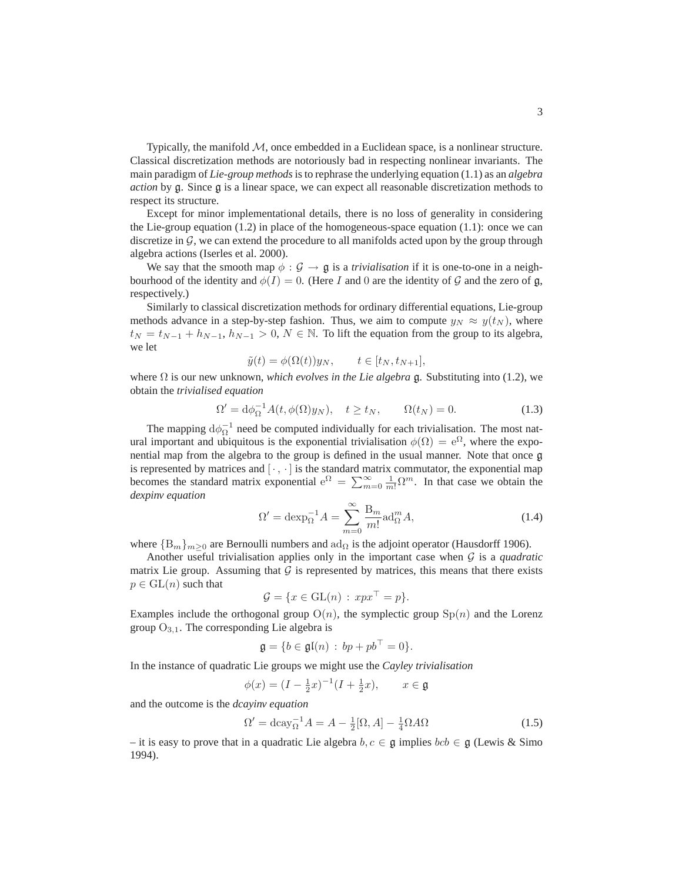Typically, the manifold  $M$ , once embedded in a Euclidean space, is a nonlinear structure. Classical discretization methods are notoriously bad in respecting nonlinear invariants. The main paradigm of *Lie-group methods*is to rephrase the underlying equation (1.1) as an *algebra action* by g. Since g is a linear space, we can expect all reasonable discretization methods to respect its structure.

Except for minor implementational details, there is no loss of generality in considering the Lie-group equation  $(1.2)$  in place of the homogeneous-space equation  $(1.1)$ : once we can discretize in  $\mathcal G$ , we can extend the procedure to all manifolds acted upon by the group through algebra actions (Iserles et al. 2000).

We say that the smooth map  $\phi : \mathcal{G} \to \mathfrak{g}$  is a *trivialisation* if it is one-to-one in a neighbourhood of the identity and  $\phi(I) = 0$ . (Here I and 0 are the identity of G and the zero of g, respectively.)

Similarly to classical discretization methods for ordinary differential equations, Lie-group methods advance in a step-by-step fashion. Thus, we aim to compute  $y_N \approx y(t_N)$ , where  $t_N = t_{N-1} + h_{N-1}, h_{N-1} > 0, N \in \mathbb{N}$ . To lift the equation from the group to its algebra, we let

$$
\tilde{y}(t) = \phi(\Omega(t))y_N, \qquad t \in [t_N, t_{N+1}],
$$

where  $\Omega$  is our new unknown, *which evolves in the Lie algebra*  $\mathfrak{g}$ . Substituting into (1.2), we obtain the *trivialised equation*

$$
\Omega' = d\phi_{\Omega}^{-1} A(t, \phi(\Omega)y_N), \quad t \ge t_N, \qquad \Omega(t_N) = 0.
$$
 (1.3)

The mapping  $d\phi_{\Omega}^{-1}$  need be computed individually for each trivialisation. The most natural important and ubiquitous is the exponential trivialisation  $\phi(\Omega) = e^{\Omega}$ , where the exponential map from the algebra to the group is defined in the usual manner. Note that once g is represented by matrices and  $[\cdot, \cdot]$  is the standard matrix commutator, the exponential map becomes the standard matrix exponential  $e^{\Omega} = \sum_{m=0}^{\infty} \frac{1}{m!} \Omega^m$ . In that case we obtain the *dexpinv equation*

$$
\Omega' = \text{dexp}_{\Omega}^{-1} A = \sum_{m=0}^{\infty} \frac{\mathbf{B}_m}{m!} \text{ad}_{\Omega}^m A,
$$
\n(1.4)

where  ${B_m}_{m\geq0}$  are Bernoulli numbers and  $\text{ad}_{\Omega}$  is the adjoint operator (Hausdorff 1906).

Another useful trivialisation applies only in the important case when G is a *quadratic* matrix Lie group. Assuming that  $\mathcal G$  is represented by matrices, this means that there exists  $p \in GL(n)$  such that

$$
\mathcal{G} = \{ x \in \text{GL}(n) : xpx^\top = p \}.
$$

Examples include the orthogonal group  $O(n)$ , the symplectic group  $Sp(n)$  and the Lorenz group  $O_{3,1}$ . The corresponding Lie algebra is

$$
\mathfrak{g} = \{ b \in \mathfrak{gl}(n) \, : \, bp + pb^\top = 0 \}.
$$

In the instance of quadratic Lie groups we might use the *Cayley trivialisation*

$$
\phi(x) = (I - \frac{1}{2}x)^{-1}(I + \frac{1}{2}x), \qquad x \in \mathfrak{g}
$$

and the outcome is the *dcayinv equation*

$$
\Omega' = \text{dcay}_{\Omega}^{-1} A = A - \frac{1}{2} [\Omega, A] - \frac{1}{4} \Omega A \Omega \tag{1.5}
$$

– it is easy to prove that in a quadratic Lie algebra  $b, c \in \mathfrak{g}$  implies  $bcb \in \mathfrak{g}$  (Lewis & Simo 1994).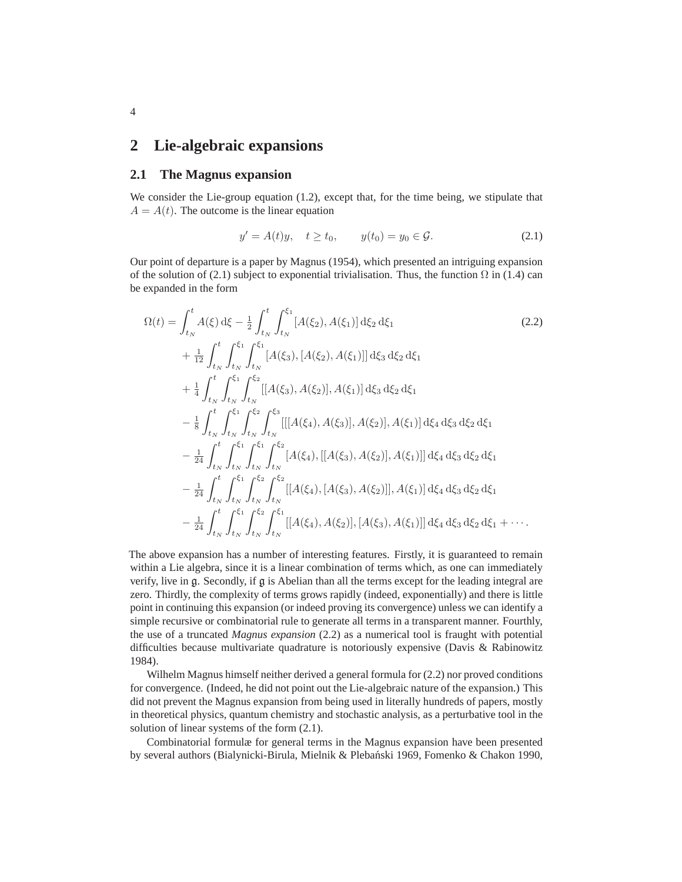# **2 Lie-algebraic expansions**

#### **2.1 The Magnus expansion**

We consider the Lie-group equation (1.2), except that, for the time being, we stipulate that  $A = A(t)$ . The outcome is the linear equation

$$
y' = A(t)y, \quad t \ge t_0, \qquad y(t_0) = y_0 \in \mathcal{G}.
$$
 (2.1)

Our point of departure is a paper by Magnus (1954), which presented an intriguing expansion of the solution of (2.1) subject to exponential trivialisation. Thus, the function  $\Omega$  in (1.4) can be expanded in the form

$$
\Omega(t) = \int_{t_N}^{t} A(\xi) d\xi - \frac{1}{2} \int_{t_N}^{t} \int_{t_N}^{\xi_1} [A(\xi_2), A(\xi_1)] d\xi_2 d\xi_1
$$
\n
$$
+ \frac{1}{12} \int_{t_N}^{t} \int_{t_N}^{\xi_1} \int_{t_N}^{\xi_1} [A(\xi_3), [A(\xi_2), A(\xi_1)]] d\xi_3 d\xi_2 d\xi_1
$$
\n
$$
+ \frac{1}{4} \int_{t_N}^{t} \int_{t_N}^{\xi_1} \int_{t_N}^{\xi_2} [[A(\xi_3), A(\xi_2)], A(\xi_1)] d\xi_3 d\xi_2 d\xi_1
$$
\n
$$
- \frac{1}{8} \int_{t_N}^{t} \int_{t_N}^{\xi_1} \int_{t_N}^{\xi_2} \int_{t_N}^{\xi_3} [[[A(\xi_4), A(\xi_3)], A(\xi_2)], A(\xi_1)] d\xi_4 d\xi_3 d\xi_2 d\xi_1
$$
\n
$$
- \frac{1}{24} \int_{t_N}^{t} \int_{t_N}^{\xi_1} \int_{t_N}^{\xi_2} \int_{t_N}^{\xi_2} [A(\xi_4), [[A(\xi_3), A(\xi_2)], A(\xi_1)]] d\xi_4 d\xi_3 d\xi_2 d\xi_1
$$
\n
$$
- \frac{1}{24} \int_{t_N}^{t} \int_{t_N}^{\xi_1} \int_{t_N}^{\xi_2} \int_{t_N}^{\xi_2} [[A(\xi_4), [A(\xi_3), A(\xi_2)]], A(\xi_1)] d\xi_4 d\xi_3 d\xi_2 d\xi_1
$$
\n
$$
- \frac{1}{24} \int_{t_N}^{t} \int_{t_N}^{\xi_1} \int_{t_N}^{\xi_2} \int_{t_N}^{\xi_1} [[A(\xi_4), A(\xi_2)], [A(\xi_3), A(\xi_1)]] d\xi_4 d\xi_3 d\xi_2 d\xi_1 + \cdots
$$
\n(2.2)

The above expansion has a number of interesting features. Firstly, it is guaranteed to remain within a Lie algebra, since it is a linear combination of terms which, as one can immediately verify, live in  $\mathfrak g$ . Secondly, if  $\mathfrak g$  is Abelian than all the terms except for the leading integral are zero. Thirdly, the complexity of terms grows rapidly (indeed, exponentially) and there is little point in continuing this expansion (or indeed proving its convergence) unless we can identify a simple recursive or combinatorial rule to generate all terms in a transparent manner. Fourthly, the use of a truncated *Magnus expansion* (2.2) as a numerical tool is fraught with potential difficulties because multivariate quadrature is notoriously expensive (Davis & Rabinowitz 1984).

Wilhelm Magnus himself neither derived a general formula for (2.2) nor proved conditions for convergence. (Indeed, he did not point out the Lie-algebraic nature of the expansion.) This did not prevent the Magnus expansion from being used in literally hundreds of papers, mostly in theoretical physics, quantum chemistry and stochastic analysis, as a perturbative tool in the solution of linear systems of the form (2.1).

Combinatorial formulæ for general terms in the Magnus expansion have been presented by several authors (Bialynicki-Birula, Mielnik & Plebański 1969, Fomenko & Chakon 1990,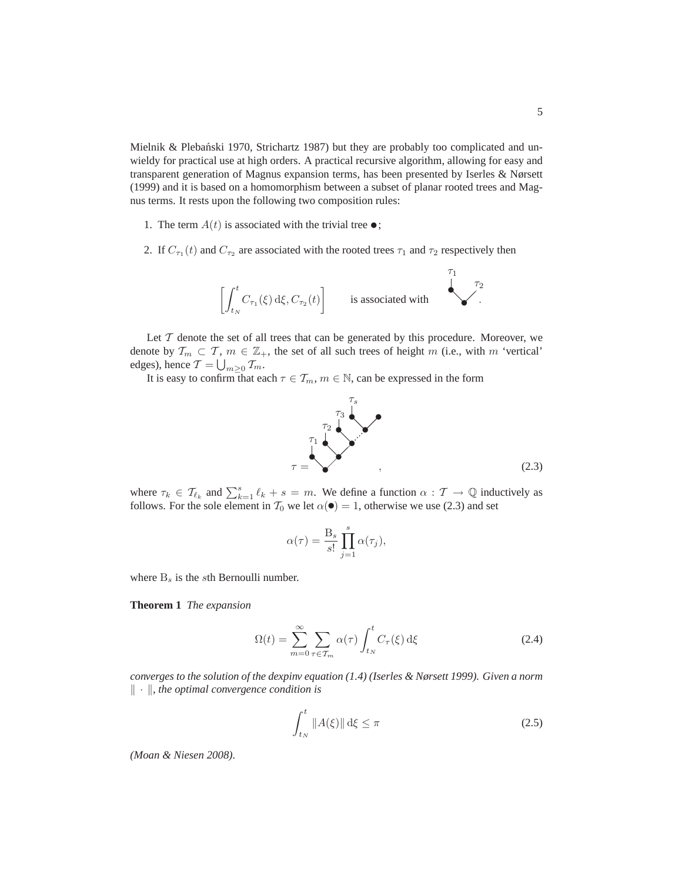Mielnik & Plebański 1970, Strichartz 1987) but they are probably too complicated and unwieldy for practical use at high orders. A practical recursive algorithm, allowing for easy and transparent generation of Magnus expansion terms, has been presented by Iserles & Nørsett (1999) and it is based on a homomorphism between a subset of planar rooted trees and Magnus terms. It rests upon the following two composition rules:

- 1. The term  $A(t)$  is associated with the trivial tree  $\bullet$ ;
- 2. If  $C_{\tau_1}(t)$  and  $C_{\tau_2}$  are associated with the rooted trees  $\tau_1$  and  $\tau_2$  respectively then



Let  $T$  denote the set of all trees that can be generated by this procedure. Moreover, we denote by  $\mathcal{T}_m \subset \mathcal{T}$ ,  $m \in \mathbb{Z}_+$ , the set of all such trees of height m (i.e., with m 'vertical' edges), hence  $T = \bigcup_{m \geq 0} T_m$ .

It is easy to confirm that each  $\tau \in \mathcal{T}_m$ ,  $m \in \mathbb{N}$ , can be expressed in the form



where  $\tau_k \in \mathcal{T}_{\ell_k}$  and  $\sum_{k=1}^s \ell_k + s = m$ . We define a function  $\alpha : \mathcal{T} \to \mathbb{Q}$  inductively as follows. For the sole element in  $T_0$  we let  $\alpha(\bullet) = 1$ , otherwise we use (2.3) and set

$$
\alpha(\tau) = \frac{\mathrm{B}_s}{s!} \prod_{j=1}^s \alpha(\tau_j),
$$

where  $B_s$  is the sth Bernoulli number.

**Theorem 1** *The expansion*

$$
\Omega(t) = \sum_{m=0}^{\infty} \sum_{\tau \in \mathcal{T}_m} \alpha(\tau) \int_{t_N}^t C_{\tau}(\xi) \,d\xi \tag{2.4}
$$

*converges to the solution of the dexpinv equation (1.4) (Iserles & Nørsett 1999). Given a norm*  $\Vert \cdot \Vert$ , the optimal convergence condition is

$$
\int_{t_N}^t \|A(\xi)\| \, \mathrm{d}\xi \le \pi \tag{2.5}
$$

*(Moan & Niesen 2008).*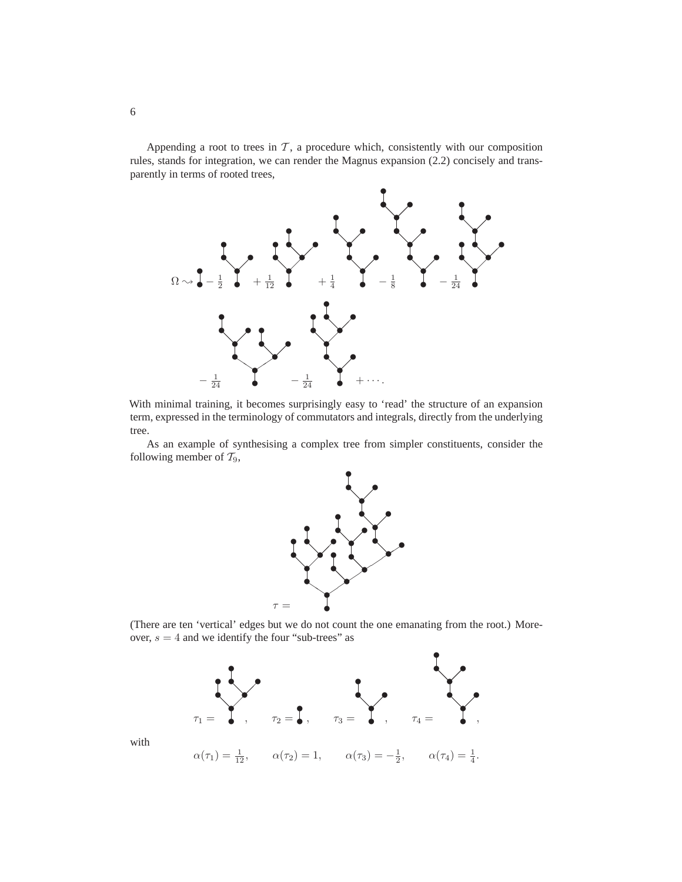Appending a root to trees in  $T$ , a procedure which, consistently with our composition rules, stands for integration, we can render the Magnus expansion (2.2) concisely and transparently in terms of rooted trees,



With minimal training, it becomes surprisingly easy to 'read' the structure of an expansion term, expressed in the terminology of commutators and integrals, directly from the underlying tree.

As an example of synthesising a complex tree from simpler constituents, consider the following member of  $\mathcal{T}_9$ ,



(There are ten 'vertical' edges but we do not count the one emanating from the root.) Moreover,  $s = 4$  and we identify the four "sub-trees" as



with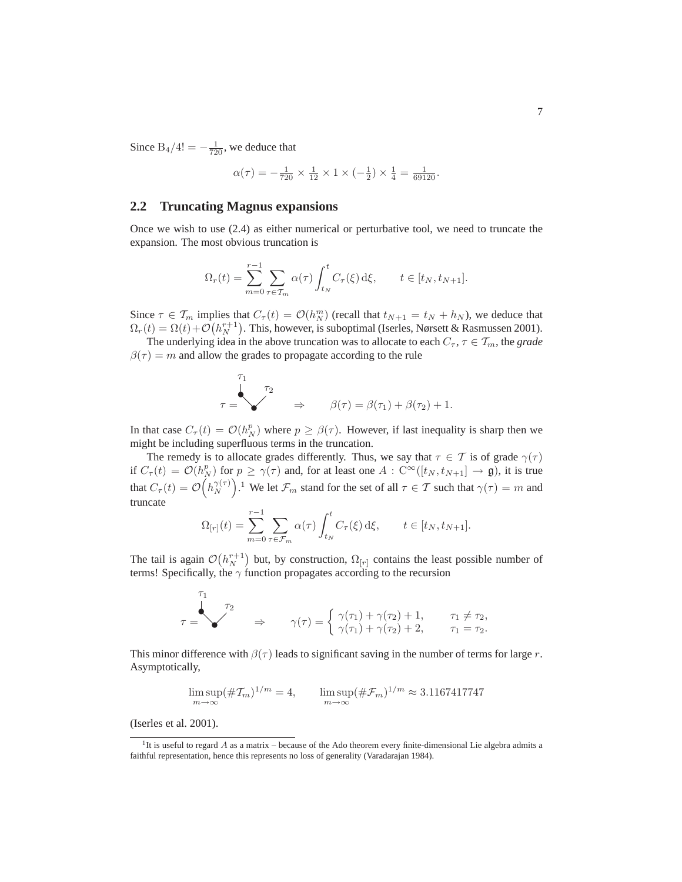Since  $B_4/4! = -\frac{1}{720}$ , we deduce that

$$
\alpha(\tau) = -\frac{1}{720} \times \frac{1}{12} \times 1 \times (-\frac{1}{2}) \times \frac{1}{4} = \frac{1}{69120}.
$$

#### **2.2 Truncating Magnus expansions**

Once we wish to use (2.4) as either numerical or perturbative tool, we need to truncate the expansion. The most obvious truncation is

$$
\Omega_r(t) = \sum_{m=0}^{r-1} \sum_{\tau \in \mathcal{T}_m} \alpha(\tau) \int_{t_N}^t C_\tau(\xi) d\xi, \qquad t \in [t_N, t_{N+1}].
$$

Since  $\tau \in \mathcal{T}_m$  implies that  $C_\tau(t) = \mathcal{O}(h_N^m)$  (recall that  $t_{N+1} = t_N + h_N$ ), we deduce that  $\Omega_r(t) = \Omega(t) + \mathcal{O}(h_N^{r+1})$ . This, however, is suboptimal (Iserles, Nørsett & Rasmussen 2001).

The underlying idea in the above truncation was to allocate to each  $C_{\tau}$ ,  $\tau \in \mathcal{T}_m$ , the *grade*  $\beta(\tau) = m$  and allow the grades to propagate according to the rule

$$
\tau = \begin{cases} \tau_1 & \tau_2 \\ \tau & \Rightarrow \end{cases} \qquad \beta(\tau) = \beta(\tau_1) + \beta(\tau_2) + 1.
$$

In that case  $C_{\tau}(t) = \mathcal{O}(h_N^p)$  where  $p \ge \beta(\tau)$ . However, if last inequality is sharp then we might be including superfluous terms in the truncation.

The remedy is to allocate grades differently. Thus, we say that  $\tau \in \mathcal{T}$  is of grade  $\gamma(\tau)$ if  $C_{\tau}(t) = \mathcal{O}(h_N^p)$  for  $p \ge \gamma(\tau)$  and, for at least one  $A : C^{\infty}([t_N, t_{N+1}] \to \mathfrak{g})$ , it is true that  $C_{\tau}(t) = \mathcal{O}(h_N^{\gamma(\tau)})$  $\begin{cases} \gamma(\tau) \\ N \end{cases}$ . We let  $\mathcal{F}_m$  stand for the set of all  $\tau \in \mathcal{T}$  such that  $\gamma(\tau) = m$  and truncate

$$
\Omega_{[r]}(t) = \sum_{m=0}^{r-1} \sum_{\tau \in \mathcal{F}_m} \alpha(\tau) \int_{t_N}^t C_\tau(\xi) \,d\xi, \qquad t \in [t_N, t_{N+1}].
$$

The tail is again  $\mathcal{O}(h_N^{r+1})$  but, by construction,  $\Omega_{[r]}$  contains the least possible number of terms! Specifically, the  $\gamma$  function propagates according to the recursion

$$
\tau = \begin{cases}\n\tau_1 & \tau_2 \\
\tau_3 & \Rightarrow \tau_4\n\end{cases} \quad \gamma(\tau) = \begin{cases}\n\gamma(\tau_1) + \gamma(\tau_2) + 1, & \tau_1 \neq \tau_2, \\
\gamma(\tau_1) + \gamma(\tau_2) + 2, & \tau_1 = \tau_2.\n\end{cases}
$$

This minor difference with  $\beta(\tau)$  leads to significant saving in the number of terms for large r. Asymptotically,

$$
\limsup_{m \to \infty} (\# \mathcal{T}_m)^{1/m} = 4, \qquad \limsup_{m \to \infty} (\# \mathcal{F}_m)^{1/m} \approx 3.1167417747
$$

(Iserles et al. 2001).

<sup>&</sup>lt;sup>1</sup>It is useful to regard A as a matrix – because of the Ado theorem every finite-dimensional Lie algebra admits a faithful representation, hence this represents no loss of generality (Varadarajan 1984).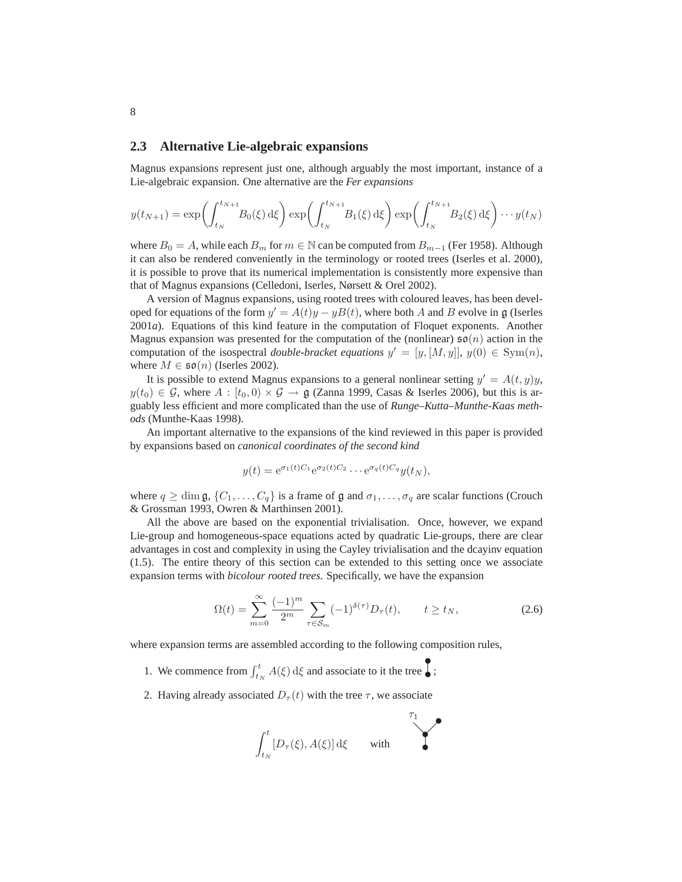#### **2.3 Alternative Lie-algebraic expansions**

Magnus expansions represent just one, although arguably the most important, instance of a Lie-algebraic expansion. One alternative are the *Fer expansions*

$$
y(t_{N+1}) = \exp\left(\int_{t_N}^{t_{N+1}} B_0(\xi) \,d\xi\right) \exp\left(\int_{t_N}^{t_{N+1}} B_1(\xi) \,d\xi\right) \exp\left(\int_{t_N}^{t_{N+1}} B_2(\xi) \,d\xi\right) \cdots y(t_N)
$$

where  $B_0 = A$ , while each  $B_m$  for  $m \in \mathbb{N}$  can be computed from  $B_{m-1}$  (Fer 1958). Although it can also be rendered conveniently in the terminology or rooted trees (Iserles et al. 2000), it is possible to prove that its numerical implementation is consistently more expensive than that of Magnus expansions (Celledoni, Iserles, Nørsett & Orel 2002).

A version of Magnus expansions, using rooted trees with coloured leaves, has been developed for equations of the form  $y' = A(t)y - yB(t)$ , where both A and B evolve in g (Iserles 2001*a*). Equations of this kind feature in the computation of Floquet exponents. Another Magnus expansion was presented for the computation of the (nonlinear)  $\mathfrak{so}(n)$  action in the computation of the isospectral *double-bracket equations*  $y' = [y, [M, y]]$ ,  $y(0) \in \text{Sym}(n)$ , where  $M \in \mathfrak{so}(n)$  (Iserles 2002).

It is possible to extend Magnus expansions to a general nonlinear setting  $y' = A(t, y)y$ ,  $y(t_0) \in \mathcal{G}$ , where  $A : [t_0, 0) \times \mathcal{G} \to \mathfrak{g}$  (Zanna 1999, Casas & Iserles 2006), but this is arguably less efficient and more complicated than the use of *Runge–Kutta–Munthe-Kaas methods* (Munthe-Kaas 1998).

An important alternative to the expansions of the kind reviewed in this paper is provided by expansions based on *canonical coordinates of the second kind*

$$
y(t) = e^{\sigma_1(t)C_1}e^{\sigma_2(t)C_2}\cdots e^{\sigma_q(t)C_q}y(t_N),
$$

where  $q \ge \dim \mathfrak{g}, \{C_1, \ldots, C_q\}$  is a frame of  $\mathfrak g$  and  $\sigma_1, \ldots, \sigma_q$  are scalar functions (Crouch & Grossman 1993, Owren & Marthinsen 2001).

All the above are based on the exponential trivialisation. Once, however, we expand Lie-group and homogeneous-space equations acted by quadratic Lie-groups, there are clear advantages in cost and complexity in using the Cayley trivialisation and the dcayinv equation (1.5). The entire theory of this section can be extended to this setting once we associate expansion terms with *bicolour rooted trees.* Specifically, we have the expansion

$$
\Omega(t) = \sum_{m=0}^{\infty} \frac{(-1)^m}{2^m} \sum_{\tau \in S_m} (-1)^{\delta(\tau)} D_{\tau}(t), \qquad t \ge t_N,
$$
\n(2.6)

 $\tau_1$ 

where expansion terms are assembled according to the following composition rules,

- 1. We commence from  $\int_{t_N}^t A(\xi) d\xi$  and associate to it the tree  $\delta$ t ;
- 2. Having already associated  $D_{\tau}(t)$  with the tree  $\tau$ , we associate

$$
\int_{t_N}^t [D_\tau(\xi), A(\xi)] \,d\xi \qquad \text{with} \qquad \qquad \sum_{i=1}^{t_1} \sum_{i=1}^{t_2} \frac{1}{i} \sum_{i=1}^{t_1} \frac{1}{i} \sum_{i=1}^{t_2} \frac{1}{i} \sum_{i=1}^{t_1} \frac{1}{i} \sum_{i=1}^{t_2} \frac{1}{i} \sum_{i=1}^{t_1} \frac{1}{i} \sum_{i=1}^{t_2} \frac{1}{i} \sum_{i=1}^{t_1} \frac{1}{i} \sum_{i=1}^{t_2} \frac{1}{i} \sum_{i=1}^{t_1} \frac{1}{i} \sum_{i=1}^{t_2} \frac{1}{i} \sum_{i=1}^{t_1} \frac{1}{i} \sum_{i=1}^{t_2} \frac{1}{i} \sum_{i=1}^{t_1} \frac{1}{i} \sum_{i=1}^{t_2} \frac{1}{i} \sum_{i=1}^{t_1} \frac{1}{i} \sum_{i=1}^{t_2} \frac{1}{i} \sum_{i=1}^{t_1} \frac{1}{i} \sum_{i=1}^{t_2} \frac{1}{i} \sum_{i=1}^{t_1} \frac{1}{i} \sum_{i=1}^{t_2} \frac{1}{i} \sum_{i=1}^{t_1} \frac{1}{i} \sum_{i=1}^{t_2} \frac{1}{i} \sum_{i=1}^{t_1} \frac{1}{i} \sum_{i=1}^{t_2} \frac{1}{i} \sum_{i=1}^{t_1} \frac{1}{i} \sum_{i=1}^{t_2} \frac{1}{i} \sum_{i=1}^{t_1} \frac{1}{i} \sum_{i=1}^{t_2} \frac{1}{i} \sum_{i=1}^{t_1} \frac{1}{i} \sum_{i=1}^{t_2} \frac{1}{i} \sum_{i=1}^{t_1} \frac{1}{i} \sum_{i=1}^{t_2} \frac{1}{i} \sum_{i=1}^{t_1} \frac{1}{i} \sum_{i=1}^{t_2} \frac{1}{i} \sum_{i=1}^{t_1} \frac{1}{i} \sum_{i=1}^{t_2} \frac{1}{i} \sum_{i=1}
$$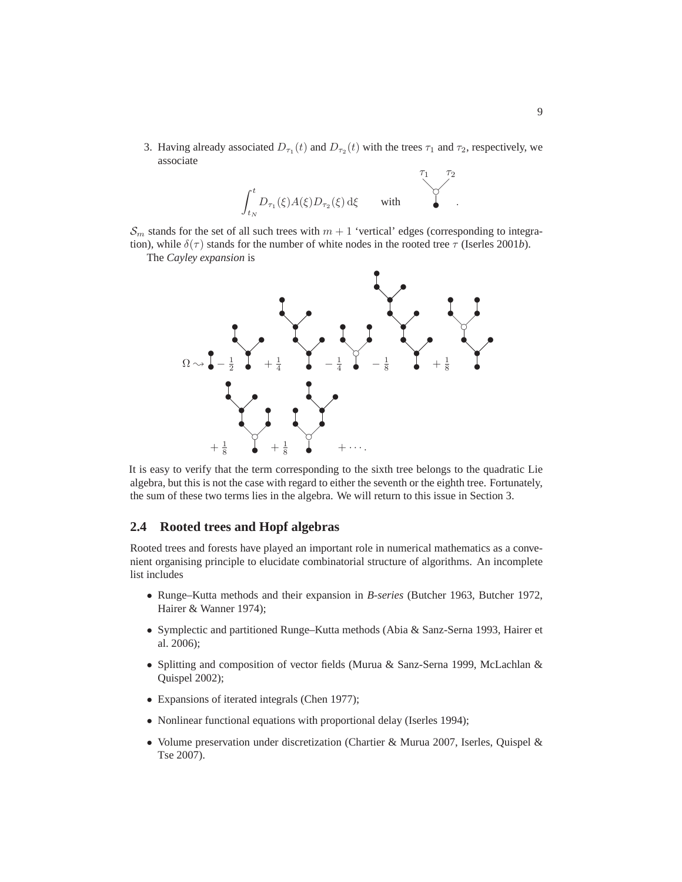3. Having already associated  $D_{\tau_1}(t)$  and  $D_{\tau_2}(t)$  with the trees  $\tau_1$  and  $\tau_2$ , respectively, we associate



 $\mathcal{S}_m$  stands for the set of all such trees with  $m + 1$  'vertical' edges (corresponding to integration), while  $\delta(\tau)$  stands for the number of white nodes in the rooted tree  $\tau$  (Iserles 2001*b*).

The *Cayley expansion* is



It is easy to verify that the term corresponding to the sixth tree belongs to the quadratic Lie algebra, but this is not the case with regard to either the seventh or the eighth tree. Fortunately, the sum of these two terms lies in the algebra. We will return to this issue in Section 3.

#### **2.4 Rooted trees and Hopf algebras**

Rooted trees and forests have played an important role in numerical mathematics as a convenient organising principle to elucidate combinatorial structure of algorithms. An incomplete list includes

- Runge–Kutta methods and their expansion in *B-series* (Butcher 1963, Butcher 1972, Hairer & Wanner 1974);
- Symplectic and partitioned Runge–Kutta methods (Abia & Sanz-Serna 1993, Hairer et al. 2006);
- Splitting and composition of vector fields (Murua & Sanz-Serna 1999, McLachlan & Quispel 2002);
- Expansions of iterated integrals (Chen 1977);
- Nonlinear functional equations with proportional delay (Iserles 1994);
- Volume preservation under discretization (Chartier & Murua 2007, Iserles, Quispel & Tse 2007).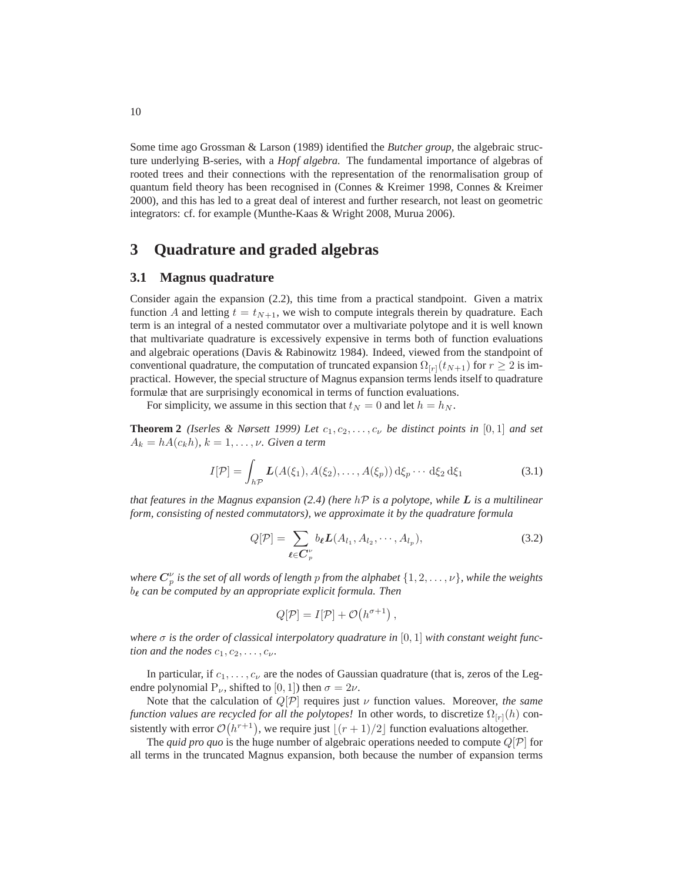Some time ago Grossman & Larson (1989) identified the *Butcher group,* the algebraic structure underlying B-series, with a *Hopf algebra.* The fundamental importance of algebras of rooted trees and their connections with the representation of the renormalisation group of quantum field theory has been recognised in (Connes & Kreimer 1998, Connes & Kreimer 2000), and this has led to a great deal of interest and further research, not least on geometric integrators: cf. for example (Munthe-Kaas & Wright 2008, Murua 2006).

# **3 Quadrature and graded algebras**

#### **3.1 Magnus quadrature**

Consider again the expansion (2.2), this time from a practical standpoint. Given a matrix function A and letting  $t = t_{N+1}$ , we wish to compute integrals therein by quadrature. Each term is an integral of a nested commutator over a multivariate polytope and it is well known that multivariate quadrature is excessively expensive in terms both of function evaluations and algebraic operations (Davis & Rabinowitz 1984). Indeed, viewed from the standpoint of conventional quadrature, the computation of truncated expansion  $\Omega_{[r]}(t_{N+1})$  for  $r \geq 2$  is impractical. However, the special structure of Magnus expansion terms lends itself to quadrature formulæ that are surprisingly economical in terms of function evaluations.

For simplicity, we assume in this section that  $t_N = 0$  and let  $h = h_N$ .

**Theorem 2** *(Iserles & Nørsett 1999) Let*  $c_1, c_2, \ldots, c_{\nu}$  *be distinct points in* [0, 1] *and set*  $A_k = hA(c_kh)$ ,  $k = 1, \ldots, \nu$ . Given a term

$$
I[\mathcal{P}] = \int_{h\mathcal{P}} \mathbf{L}(A(\xi_1), A(\xi_2), \dots, A(\xi_p)) d\xi_p \cdots d\xi_2 d\xi_1
$$
 (3.1)

*that features in the Magnus expansion (2.4) (here* hP *is a polytope, while* L *is a multilinear form, consisting of nested commutators), we approximate it by the quadrature formula*

$$
Q[\mathcal{P}] = \sum_{\boldsymbol{\ell} \in \mathbf{C}_p^{\nu}} b_{\boldsymbol{\ell}} \mathbf{L}(A_{l_1}, A_{l_2}, \cdots, A_{l_p}),
$$
\n(3.2)

where  $C_p^{\nu}$  is the set of all words of length  $p$  from the alphabet  $\{1,2,\ldots,\nu\},$  while the weights b<sup>ℓ</sup> *can be computed by an appropriate explicit formula. Then*

$$
Q[\mathcal{P}] = I[\mathcal{P}] + \mathcal{O}(h^{\sigma+1}),
$$

*where*  $\sigma$  *is the order of classical interpolatory quadrature in* [0, 1] *with constant weight function and the nodes*  $c_1, c_2, \ldots, c_{\nu}$ .

In particular, if  $c_1, \ldots, c_{\nu}$  are the nodes of Gaussian quadrature (that is, zeros of the Legendre polynomial  $P_{\nu}$ , shifted to [0, 1]) then  $\sigma = 2\nu$ .

Note that the calculation of  $Q[\mathcal{P}]$  requires just  $\nu$  function values. Moreover, *the same function values are recycled for all the polytopes!* In other words, to discretize  $\Omega_{[r]}(h)$  consistently with error  $\mathcal{O}(h^{r+1})$ , we require just  $\lfloor (r+1)/2 \rfloor$  function evaluations altogether.

The *quid pro quo* is the huge number of algebraic operations needed to compute Q[P] for all terms in the truncated Magnus expansion, both because the number of expansion terms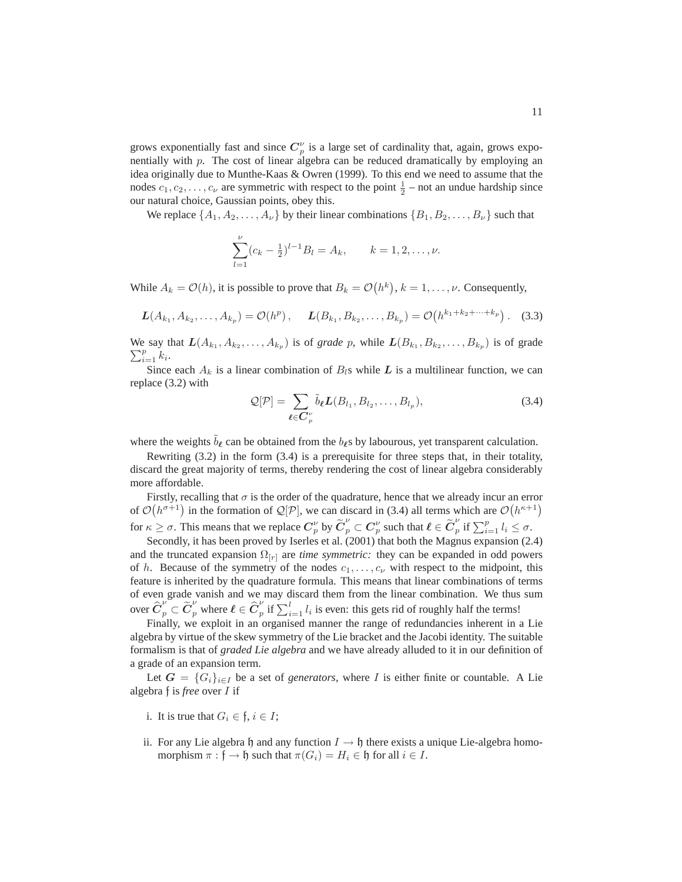grows exponentially fast and since  $C_p^{\nu}$  is a large set of cardinality that, again, grows exponentially with p. The cost of linear algebra can be reduced dramatically by employing an idea originally due to Munthe-Kaas & Owren (1999). To this end we need to assume that the nodes  $c_1, c_2, \dots, c_\nu$  are symmetric with respect to the point  $\frac{1}{2}$  – not an undue hardship since our natural choice, Gaussian points, obey this.

We replace  $\{A_1, A_2, \ldots, A_{\nu}\}$  by their linear combinations  $\{B_1, B_2, \ldots, B_{\nu}\}\$  such that

$$
\sum_{l=1}^{\nu} (c_k - \frac{1}{2})^{l-1} B_l = A_k, \qquad k = 1, 2, \dots, \nu.
$$

While  $A_k = \mathcal{O}(h)$ , it is possible to prove that  $B_k = \mathcal{O}(h^k)$ ,  $k = 1, \dots, \nu$ . Consequently,

$$
\mathbf{L}(A_{k_1}, A_{k_2}, \dots, A_{k_p}) = \mathcal{O}(h^p), \quad \mathbf{L}(B_{k_1}, B_{k_2}, \dots, B_{k_p}) = \mathcal{O}(h^{k_1 + k_2 + \dots + k_p}). \quad (3.3)
$$

We say that  $L(A_{k_1}, A_{k_2},..., A_{k_p})$  is of *grade* p, while  $L(B_{k_1}, B_{k_2},..., B_{k_p})$  is of grade  $\sum_{i=1}^p k_i$ .  $_{i=1}^p k_i$ .

Since each  $A_k$  is a linear combination of  $B_l$ s while L is a multilinear function, we can replace (3.2) with

$$
\mathcal{Q}[\mathcal{P}] = \sum_{\boldsymbol{\ell} \in \mathbf{C}_{p}^{\nu}} \tilde{b}_{\boldsymbol{\ell}} \mathbf{L}(B_{l_1}, B_{l_2}, \dots, B_{l_p}),
$$
\n(3.4)

where the weights  $\hat{b}_{\ell}$  can be obtained from the  $b_{\ell}$ s by labourous, yet transparent calculation.

Rewriting (3.2) in the form (3.4) is a prerequisite for three steps that, in their totality, discard the great majority of terms, thereby rendering the cost of linear algebra considerably more affordable.

Firstly, recalling that  $\sigma$  is the order of the quadrature, hence that we already incur an error of  $\mathcal{O}(h^{\sigma+1})$  in the formation of  $\mathcal{Q}[\mathcal{P}]$ , we can discard in (3.4) all terms which are  $\mathcal{O}(h^{\kappa+1})$ for  $\kappa \ge \sigma$ . This means that we replace  $C_p^{\nu}$  by  $\widetilde{C}_p^{\nu} \subset C_p^{\nu}$  such that  $\ell \in \widetilde{C}_p^{\nu}$  $_p^{\nu}$  if  $\sum_{i=1}^p l_i \leq \sigma$ .

Secondly, it has been proved by Iserles et al.  $(2001)$  that both the Magnus expansion (2.4) and the truncated expansion  $\Omega_{[r]}$  are *time symmetric:* they can be expanded in odd powers of h. Because of the symmetry of the nodes  $c_1, \ldots, c_{\nu}$  with respect to the midpoint, this feature is inherited by the quadrature formula. This means that linear combinations of terms of even grade vanish and we may discard them from the linear combination. We thus sum over  $\hat{\boldsymbol{C}}_{p}^{\nu}\subset\widetilde{\boldsymbol{C}}_{p}^{\nu}$  where  $\boldsymbol{\ell}\in\widehat{\boldsymbol{C}}_{p}^{\nu}$  $\sum_{i=1}^{\nu} l_i$  is even: this gets rid of roughly half the terms!

Finally, we exploit in an organised manner the range of redundancies inherent in a Lie algebra by virtue of the skew symmetry of the Lie bracket and the Jacobi identity. The suitable formalism is that of *graded Lie algebra* and we have already alluded to it in our definition of a grade of an expansion term.

Let  $G = \{G_i\}_{i\in I}$  be a set of *generators*, where I is either finite or countable. A Lie algebra f is *free* over I if

- i. It is true that  $G_i \in \mathfrak{f}, i \in I$ ;
- ii. For any Lie algebra h and any function  $I \rightarrow \mathfrak{h}$  there exists a unique Lie-algebra homomorphism  $\pi : \mathfrak{f} \to \mathfrak{h}$  such that  $\pi(G_i) = H_i \in \mathfrak{h}$  for all  $i \in I$ .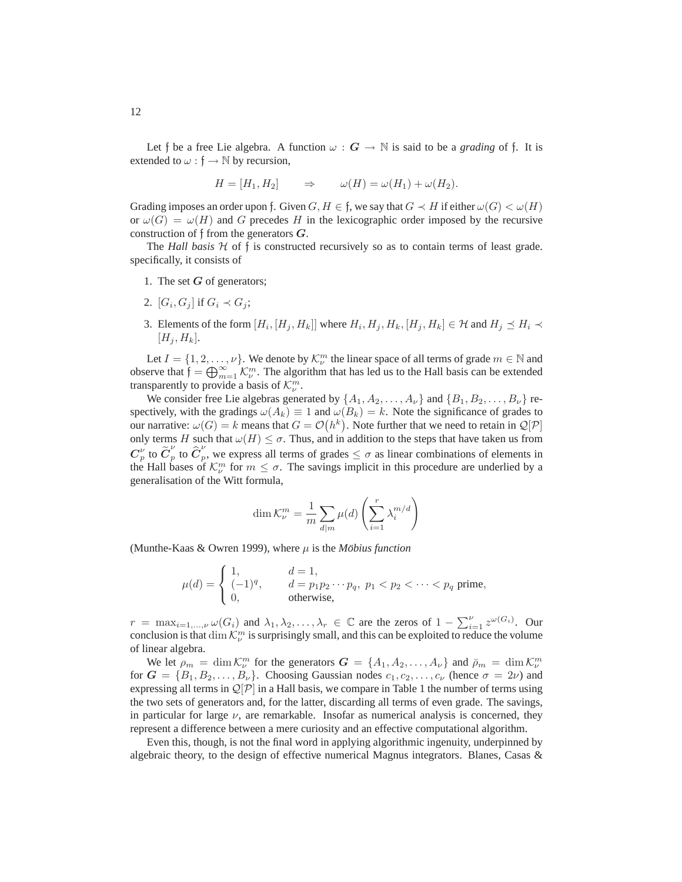Let f be a free Lie algebra. A function  $\omega : G \to \mathbb{N}$  is said to be a *grading* of f. It is extended to  $\omega : \mathfrak{f} \to \mathbb{N}$  by recursion,

$$
H = [H_1, H_2] \qquad \Rightarrow \qquad \omega(H) = \omega(H_1) + \omega(H_2).
$$

Grading imposes an order upon f. Given  $G, H \in \mathfrak{f}$ , we say that  $G \prec H$  if either  $\omega(G) \prec \omega(H)$ or  $\omega(G) = \omega(H)$  and G precedes H in the lexicographic order imposed by the recursive construction of  $f$  from the generators  $G$ .

The *Hall basis* H of f is constructed recursively so as to contain terms of least grade. specifically, it consists of

- 1. The set  $G$  of generators;
- 2.  $[G_i, G_j]$  if  $G_i \prec G_j$ ;
- 3. Elements of the form  $[H_i, [H_j, H_k]]$  where  $H_i, H_j, H_k, [H_j, H_k] \in \mathcal{H}$  and  $H_j \preceq H_i \prec$  $[H_i, H_k].$

Let  $I = \{1, 2, ..., \nu\}$ . We denote by  $\mathcal{K}_{\nu}^{m}$  the linear space of all terms of grade  $m \in \mathbb{N}$  and observe that  $\hat{\mathfrak{f}} = \bigoplus_{m=1}^{\infty} \mathcal{K}_{\nu}^m$ . The algorithm that has led us to the Hall basis can be extended transparently to provide a basis of  $\mathcal{K}_{\nu}^m$ .

We consider free Lie algebras generated by  $\{A_1, A_2, \ldots, A_{\nu}\}\$  and  $\{B_1, B_2, \ldots, B_{\nu}\}\$  respectively, with the gradings  $\omega(A_k) \equiv 1$  and  $\omega(B_k) = k$ . Note the significance of grades to our narrative:  $\omega(G) = k$  means that  $G = \mathcal{O}(h^k)$ . Note further that we need to retain in  $\mathcal{Q}[\mathcal{P}]$ only terms H such that  $\omega(H) \leq \sigma$ . Thus, and in addition to the steps that have taken us from  $\overset{\rightharpoonup }{C_p^{\nu }}$  to  $\overset{\rightharpoonup }{C_p^{\nu }}$  $_p^{\nu}$  to  $\widehat{\boldsymbol{C}}_p^{\nu}$  $_p$ , we express all terms of grades  $\leq \sigma$  as linear combinations of elements in the Hall bases of  $\mathcal{K}^m_\nu$  for  $m \leq \sigma$ . The savings implicit in this procedure are underlied by a generalisation of the Witt formula,

$$
\dim \mathcal{K}^m_\nu = \frac{1}{m} \sum_{d \mid m} \mu(d) \left( \sum_{i=1}^r \lambda_i^{m/d} \right)
$$

(Munthe-Kaas & Owren 1999), where  $\mu$  is the *Möbius function* 

$$
\mu(d) = \begin{cases} 1, & d = 1, \\ (-1)^q, & d = p_1 p_2 \cdots p_q, \ p_1 < p_2 < \cdots < p_q \text{ prime,} \\ 0, & \text{otherwise,} \end{cases}
$$

 $r = \max_{i=1,\dots,\nu} \omega(G_i)$  and  $\lambda_1, \lambda_2, \dots, \lambda_r \in \mathbb{C}$  are the zeros of  $1 - \sum_{i=1}^{\nu} z^{\omega(G_i)}$ . Our conclusion is that  $\dim \mathcal{K}^m_\nu$  is surprisingly small, and this can be exploited to reduce the volume of linear algebra.

We let  $\rho_m = \dim \mathcal{K}^m_\nu$  for the generators  $\mathbf{G} = \{A_1, A_2, \dots, A_\nu\}$  and  $\bar{\rho}_m = \dim \mathcal{K}^m_\nu$ for  $G = \{B_1, B_2, \ldots, B_\nu\}$ . Choosing Gaussian nodes  $c_1, c_2, \ldots, c_\nu$  (hence  $\sigma = 2\nu$ ) and expressing all terms in  $\mathcal{Q}[\mathcal{P}]$  in a Hall basis, we compare in Table 1 the number of terms using the two sets of generators and, for the latter, discarding all terms of even grade. The savings, in particular for large  $\nu$ , are remarkable. Insofar as numerical analysis is concerned, they represent a difference between a mere curiosity and an effective computational algorithm.

Even this, though, is not the final word in applying algorithmic ingenuity, underpinned by algebraic theory, to the design of effective numerical Magnus integrators. Blanes, Casas &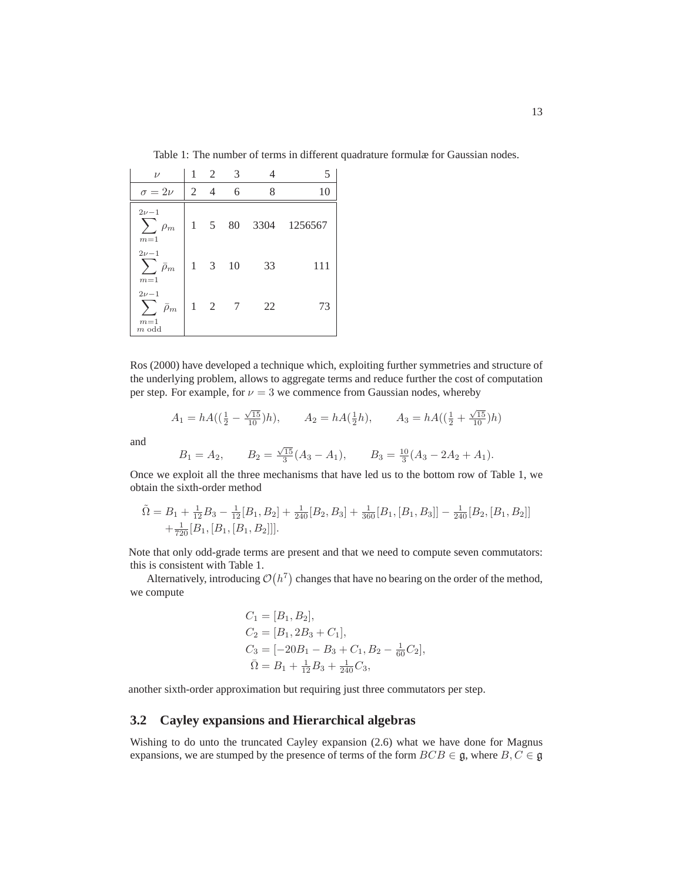| $\nu$                                            | $\mathbf{1}$ | 2 3                  |        | $\overline{4}$ | 5            |
|--------------------------------------------------|--------------|----------------------|--------|----------------|--------------|
| $\sigma = 2\nu$                                  | $2 \quad 4$  |                      | 6      | 8              | 10           |
| $2\nu - 1$<br>$\sum \rho_m$<br>$m=1$             |              |                      | 1 5 80 |                | 3304 1256567 |
| $2\nu - 1$<br>$\sum \bar{\rho}_m$<br>$m=1$       |              | $1 \quad 3 \quad 10$ |        | 33             | 111          |
| $2\nu - 1$<br>$\bar{\rho}_m$<br>$m=1$<br>$m$ odd |              | $1 \quad 2 \quad 7$  |        | 22             | 73           |

Table 1: The number of terms in different quadrature formulæ for Gaussian nodes.

Ros (2000) have developed a technique which, exploiting further symmetries and structure of the underlying problem, allows to aggregate terms and reduce further the cost of computation per step. For example, for  $\nu = 3$  we commence from Gaussian nodes, whereby

$$
A_1 = hA((\frac{1}{2} - \frac{\sqrt{15}}{10})h), \qquad A_2 = hA(\frac{1}{2}h), \qquad A_3 = hA((\frac{1}{2} + \frac{\sqrt{15}}{10})h)
$$

and

$$
B_1 = A_2,
$$
  $B_2 = \frac{\sqrt{15}}{3}(A_3 - A_1),$   $B_3 = \frac{10}{3}(A_3 - 2A_2 + A_1).$ 

Once we exploit all the three mechanisms that have led us to the bottom row of Table 1, we obtain the sixth-order method

$$
\tilde{\Omega} = B_1 + \frac{1}{12}B_3 - \frac{1}{12}[B_1, B_2] + \frac{1}{240}[B_2, B_3] + \frac{1}{360}[B_1, [B_1, B_3]] - \frac{1}{240}[B_2, [B_1, B_2]] \n+ \frac{1}{720}[B_1, [B_1, [B_1, B_2]]].
$$

Note that only odd-grade terms are present and that we need to compute seven commutators: this is consistent with Table 1.

Alternatively, introducing  $\mathcal{O}(h^7)$  changes that have no bearing on the order of the method, we compute

$$
C_1 = [B_1, B_2],
$$
  
\n
$$
C_2 = [B_1, 2B_3 + C_1],
$$
  
\n
$$
C_3 = [-20B_1 - B_3 + C_1, B_2 - \frac{1}{60}C_2],
$$
  
\n
$$
\overline{\Omega} = B_1 + \frac{1}{12}B_3 + \frac{1}{240}C_3,
$$

another sixth-order approximation but requiring just three commutators per step.

#### **3.2 Cayley expansions and Hierarchical algebras**

Wishing to do unto the truncated Cayley expansion (2.6) what we have done for Magnus expansions, we are stumped by the presence of terms of the form  $BCB \in \mathfrak{g}$ , where  $B, C \in \mathfrak{g}$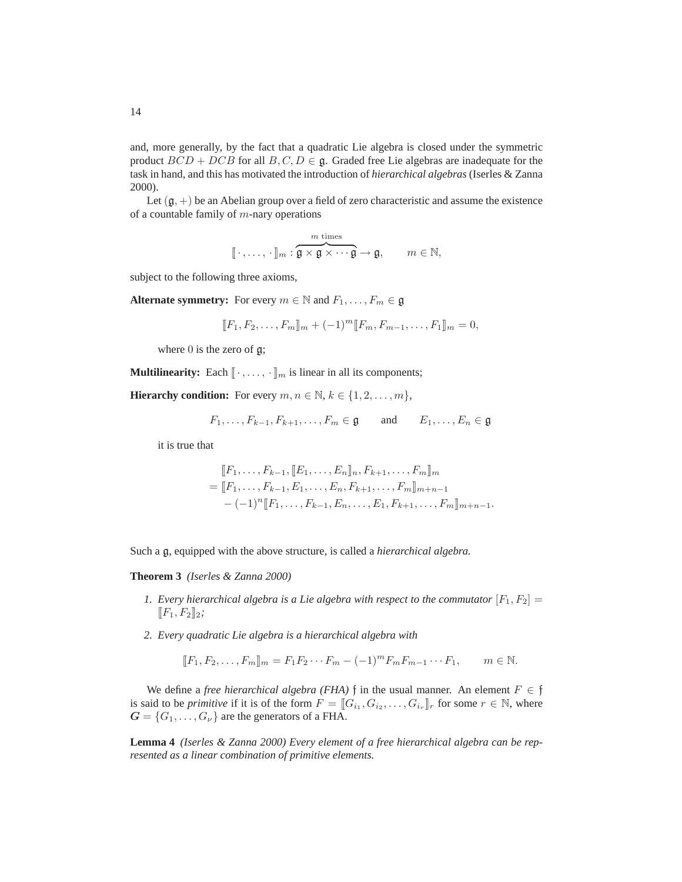and, more generally, by the fact that a quadratic Lie algebra is closed under the symmetric product  $BCD + DCB$  for all  $B, C, D \in \mathfrak{g}$ . Graded free Lie algebras are inadequate for the task in hand, and this has motivated the introduction of *hierarchical algebras* (Iserles & Zanna 2000).

Let  $(\mathfrak{g}, +)$  be an Abelian group over a field of zero characteristic and assume the existence of a countable family of  $m$ -nary operations

$$
[\![\,\cdot\,,\ldots,\,\cdot\,]\!]_m : \overbrace{\mathfrak{g}\times\mathfrak{g}\times\cdots\mathfrak{g}}^{m \text{ times}} \to \mathfrak{g}, \qquad m \in \mathbb{N},
$$

subject to the following three axioms,

**Alternate symmetry:** For every  $m \in \mathbb{N}$  and  $F_1, \ldots, F_m \in \mathfrak{g}$ 

$$
[[F_1, F_2, \dots, F_m]]_m + (-1)^m [[F_m, F_{m-1}, \dots, F_1]]_m = 0,
$$

where 0 is the zero of  $\mathfrak{g}$ ;

**Multilinearity:** Each  $[\![ \cdot, \ldots, \cdot ]\!]_m$  is linear in all its components;

**Hierarchy condition:** For every  $m, n \in \mathbb{N}, k \in \{1, 2, \ldots, m\},\$ 

$$
F_1, \ldots, F_{k-1}, F_{k+1}, \ldots, F_m \in \mathfrak{g}
$$
 and  $E_1, \ldots, E_n \in \mathfrak{g}$ 

it is true that

$$
\begin{aligned} [\![F_1, \ldots, F_{k-1}, [\![E_1, \ldots, E_n]\!]_n, F_{k+1}, \ldots, F_m]\!]_m \\ &= [\![F_1, \ldots, F_{k-1}, E_1, \ldots, E_n, F_{k+1}, \ldots, F_m]\!]_{m+n-1} \\ &- (-1)^n [\![F_1, \ldots, F_{k-1}, E_n, \ldots, E_1, F_{k+1}, \ldots, F_m]\!]_{m+n-1}. \end{aligned}
$$

Such a g, equipped with the above structure, is called a *hierarchical algebra.*

**Theorem 3** *(Iserles & Zanna 2000)*

- *1. Every hierarchical algebra is a Lie algebra with respect to the commutator*  $[F_1, F_2] =$  $[ [F_1, F_2]_2;$
- *2. Every quadratic Lie algebra is a hierarchical algebra with*

$$
[[F_1, F_2, \dots, F_m]]_m = F_1 F_2 \cdots F_m - (-1)^m F_m F_{m-1} \cdots F_1, \qquad m \in \mathbb{N}.
$$

We define a *free hierarchical algebra (FHA)* f in the usual manner. An element  $F \in \mathfrak{f}$ is said to be *primitive* if it is of the form  $F = [[G_{i_1}, G_{i_2}, \dots, G_{i_r}]]_r$  for some  $r \in \mathbb{N}$ , where  $G = \{G_1, \ldots, G_{\nu}\}\$ are the generators of a FHA.

**Lemma 4** *(Iserles & Zanna 2000) Every element of a free hierarchical algebra can be represented as a linear combination of primitive elements.*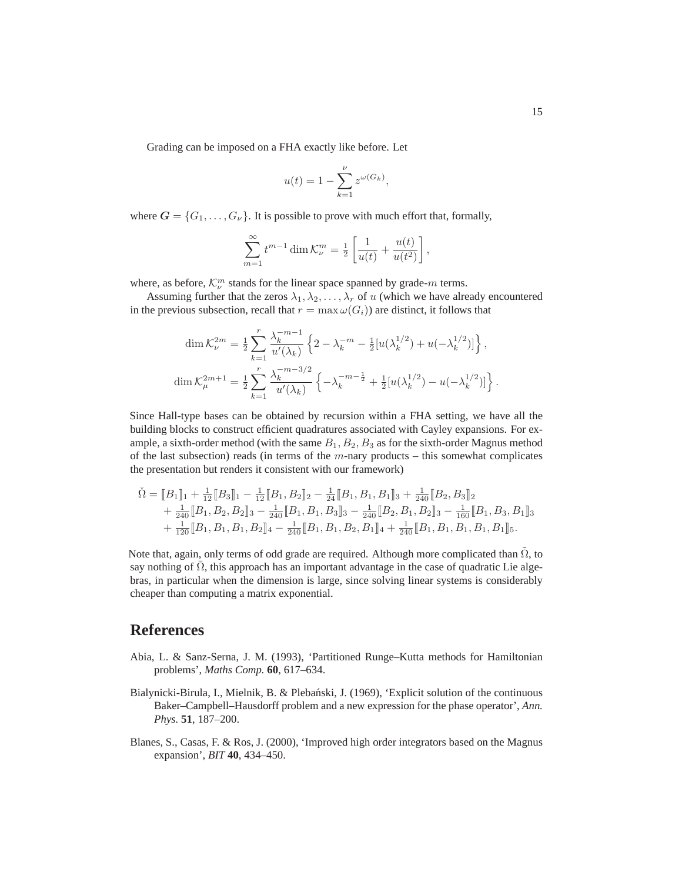Grading can be imposed on a FHA exactly like before. Let

$$
u(t) = 1 - \sum_{k=1}^{\nu} z^{\omega(G_k)},
$$

where  $G = \{G_1, \ldots, G_\nu\}$ . It is possible to prove with much effort that, formally,

$$
\sum_{m=1}^{\infty} t^{m-1} \dim \mathcal{K}_{\nu}^{m} = \frac{1}{2} \left[ \frac{1}{u(t)} + \frac{u(t)}{u(t^2)} \right],
$$

where, as before,  $\mathcal{K}^m_\nu$  stands for the linear space spanned by grade- $m$  terms.

Assuming further that the zeros  $\lambda_1, \lambda_2, \ldots, \lambda_r$  of u (which we have already encountered in the previous subsection, recall that  $r = \max \omega(G_i)$  are distinct, it follows that

$$
\dim \mathcal{K}_{\nu}^{2m} = \frac{1}{2} \sum_{k=1}^{r} \frac{\lambda_k^{-m-1}}{u'(\lambda_k)} \left\{ 2 - \lambda_k^{-m} - \frac{1}{2} [u(\lambda_k^{1/2}) + u(-\lambda_k^{1/2})] \right\},
$$
  

$$
\dim \mathcal{K}_{\mu}^{2m+1} = \frac{1}{2} \sum_{k=1}^{r} \frac{\lambda_k^{-m-3/2}}{u'(\lambda_k)} \left\{ -\lambda_k^{-m-\frac{1}{2}} + \frac{1}{2} [u(\lambda_k^{1/2}) - u(-\lambda_k^{1/2})] \right\}.
$$

Since Hall-type bases can be obtained by recursion within a FHA setting, we have all the building blocks to construct efficient quadratures associated with Cayley expansions. For example, a sixth-order method (with the same  $B_1, B_2, B_3$  as for the sixth-order Magnus method of the last subsection) reads (in terms of the  $m$ -nary products – this somewhat complicates the presentation but renders it consistent with our framework)

$$
\begin{aligned} \check{\Omega} &= [\![B_1]\!]_1 + \tfrac{1}{12} [\![B_3]\!]_1 - \tfrac{1}{12} [\![B_1,B_2]\!]_2 - \tfrac{1}{24} [\![B_1,B_1,B_1]\!]_3 + \tfrac{1}{240} [\![B_2,B_3]\!]_2 \\ &+ \tfrac{1}{240} [\![B_1,B_2,B_2]\!]_3 - \tfrac{1}{240} [\![B_1,B_1,B_3]\!]_3 - \tfrac{1}{240} [\![B_2,B_1,B_2]\!]_3 - \tfrac{1}{160} [\![B_1,B_3,B_1]\!]_3 \\ &+ \tfrac{1}{120} [\![B_1,B_1,B_1,B_2]\!]_4 - \tfrac{1}{240} [\![B_1,B_1,B_2,B_1]\!]_4 + \tfrac{1}{240} [\![B_1,B_1,B_1,B_1,B_1]\!]_5. \end{aligned}
$$

Note that, again, only terms of odd grade are required. Although more complicated than  $\Omega$ , to say nothing of  $\Omega$ , this approach has an important advantage in the case of quadratic Lie algebras, in particular when the dimension is large, since solving linear systems is considerably cheaper than computing a matrix exponential.

### **References**

- Abia, L. & Sanz-Serna, J. M. (1993), 'Partitioned Runge–Kutta methods for Hamiltonian problems', *Maths Comp.* **60**, 617–634.
- Bialynicki-Birula, I., Mielnik, B. & Plebański, J. (1969), 'Explicit solution of the continuous Baker–Campbell–Hausdorff problem and a new expression for the phase operator', *Ann. Phys.* **51**, 187–200.
- Blanes, S., Casas, F. & Ros, J. (2000), 'Improved high order integrators based on the Magnus expansion', *BIT* **40**, 434–450.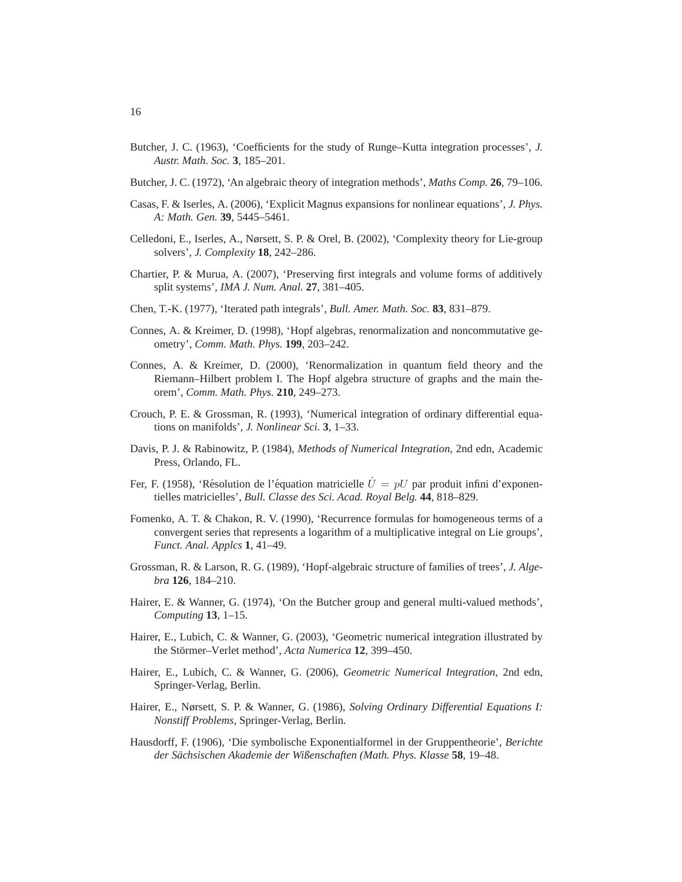- Butcher, J. C. (1963), 'Coefficients for the study of Runge–Kutta integration processes', *J. Austr. Math. Soc.* **3**, 185–201.
- Butcher, J. C. (1972), 'An algebraic theory of integration methods', *Maths Comp.* **26**, 79–106.
- Casas, F. & Iserles, A. (2006), 'Explicit Magnus expansions for nonlinear equations', *J. Phys. A: Math. Gen.* **39**, 5445–5461.
- Celledoni, E., Iserles, A., Nørsett, S. P. & Orel, B. (2002), 'Complexity theory for Lie-group solvers', *J. Complexity* **18**, 242–286.
- Chartier, P. & Murua, A. (2007), 'Preserving first integrals and volume forms of additively split systems', *IMA J. Num. Anal.* **27**, 381–405.
- Chen, T.-K. (1977), 'Iterated path integrals', *Bull. Amer. Math. Soc.* **83**, 831–879.
- Connes, A. & Kreimer, D. (1998), 'Hopf algebras, renormalization and noncommutative geometry', *Comm. Math. Phys.* **199**, 203–242.
- Connes, A. & Kreimer, D. (2000), 'Renormalization in quantum field theory and the Riemann–Hilbert problem I. The Hopf algebra structure of graphs and the main theorem', *Comm. Math. Phys.* **210**, 249–273.
- Crouch, P. E. & Grossman, R. (1993), 'Numerical integration of ordinary differential equations on manifolds', *J. Nonlinear Sci.* **3**, 1–33.
- Davis, P. J. & Rabinowitz, P. (1984), *Methods of Numerical Integration*, 2nd edn, Academic Press, Orlando, FL.
- Fer, F. (1958), 'Résolution de l'équation matricielle  $\dot{U} = pU$  par produit infini d'exponentielles matricielles', *Bull. Classe des Sci. Acad. Royal Belg.* **44**, 818–829.
- Fomenko, A. T. & Chakon, R. V. (1990), 'Recurrence formulas for homogeneous terms of a convergent series that represents a logarithm of a multiplicative integral on Lie groups', *Funct. Anal. Applcs* **1**, 41–49.
- Grossman, R. & Larson, R. G. (1989), 'Hopf-algebraic structure of families of trees', *J. Algebra* **126**, 184–210.
- Hairer, E. & Wanner, G. (1974), 'On the Butcher group and general multi-valued methods', *Computing* **13**, 1–15.
- Hairer, E., Lubich, C. & Wanner, G. (2003), 'Geometric numerical integration illustrated by the Störmer–Verlet method', *Acta Numerica* 12, 399–450.
- Hairer, E., Lubich, C. & Wanner, G. (2006), *Geometric Numerical Integration*, 2nd edn, Springer-Verlag, Berlin.
- Hairer, E., Nørsett, S. P. & Wanner, G. (1986), *Solving Ordinary Differential Equations I: Nonstiff Problems*, Springer-Verlag, Berlin.
- Hausdorff, F. (1906), 'Die symbolische Exponentialformel in der Gruppentheorie', *Berichte* der Sächsischen Akademie der Wißenschaften (Math. Phys. Klasse 58, 19–48.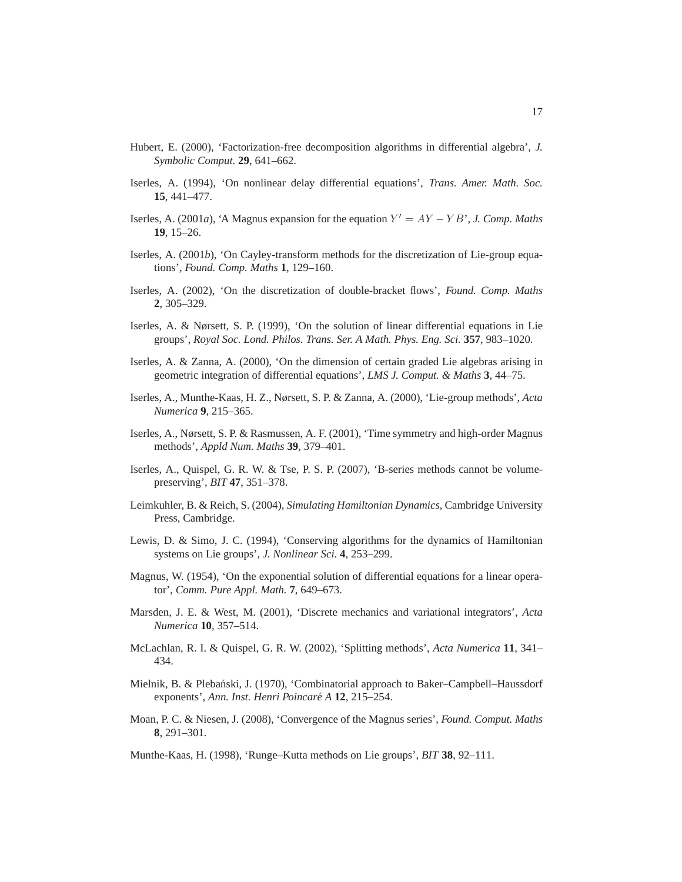- Hubert, E. (2000), 'Factorization-free decomposition algorithms in differential algebra', *J. Symbolic Comput.* **29**, 641–662.
- Iserles, A. (1994), 'On nonlinear delay differential equations', *Trans. Amer. Math. Soc.* **15**, 441–477.
- Iserles, A. (2001*a*), 'A Magnus expansion for the equation  $Y' = AY YB'$ , *J. Comp. Maths* **19**, 15–26.
- Iserles, A. (2001*b*), 'On Cayley-transform methods for the discretization of Lie-group equations', *Found. Comp. Maths* **1**, 129–160.
- Iserles, A. (2002), 'On the discretization of double-bracket flows', *Found. Comp. Maths* **2**, 305–329.
- Iserles, A. & Nørsett, S. P. (1999), 'On the solution of linear differential equations in Lie groups', *Royal Soc. Lond. Philos. Trans. Ser. A Math. Phys. Eng. Sci.* **357**, 983–1020.
- Iserles, A. & Zanna, A. (2000), 'On the dimension of certain graded Lie algebras arising in geometric integration of differential equations', *LMS J. Comput. & Maths* **3**, 44–75.
- Iserles, A., Munthe-Kaas, H. Z., Nørsett, S. P. & Zanna, A. (2000), 'Lie-group methods', *Acta Numerica* **9**, 215–365.
- Iserles, A., Nørsett, S. P. & Rasmussen, A. F. (2001), 'Time symmetry and high-order Magnus methods', *Appld Num. Maths* **39**, 379–401.
- Iserles, A., Quispel, G. R. W. & Tse, P. S. P. (2007), 'B-series methods cannot be volumepreserving', *BIT* **47**, 351–378.
- Leimkuhler, B. & Reich, S. (2004), *Simulating Hamiltonian Dynamics*, Cambridge University Press, Cambridge.
- Lewis, D. & Simo, J. C. (1994), 'Conserving algorithms for the dynamics of Hamiltonian systems on Lie groups', *J. Nonlinear Sci.* **4**, 253–299.
- Magnus, W. (1954), 'On the exponential solution of differential equations for a linear operator', *Comm. Pure Appl. Math.* **7**, 649–673.
- Marsden, J. E. & West, M. (2001), 'Discrete mechanics and variational integrators', *Acta Numerica* **10**, 357–514.
- McLachlan, R. I. & Quispel, G. R. W. (2002), 'Splitting methods', *Acta Numerica* **11**, 341– 434.
- Mielnik, B. & Plebański, J. (1970), 'Combinatorial approach to Baker–Campbell–Haussdorf exponents', *Ann. Inst. Henri Poincare A´* **12**, 215–254.
- Moan, P. C. & Niesen, J. (2008), 'Convergence of the Magnus series', *Found. Comput. Maths* **8**, 291–301.